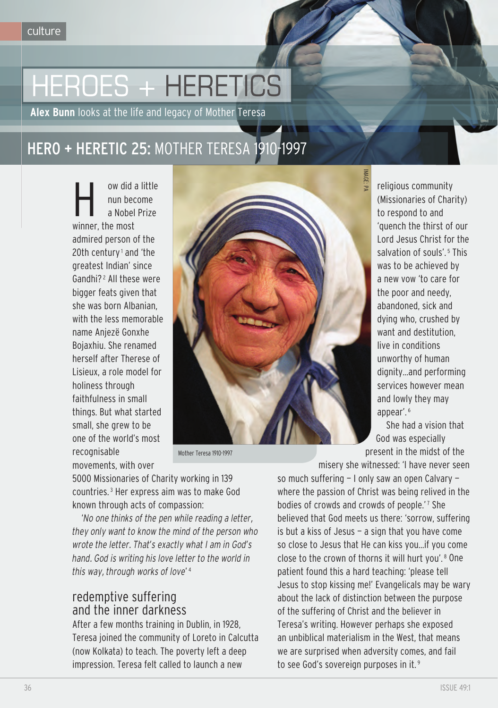# **HEROES + HERETICS**

Alex Bunn looks at the life and legacy of Mother Teresa

# HERO + HERETIC 25: MOtHEr tErESA 1910-1997

e w did a little<br>
nun become<br>
a Nobel Prize nun become winner, the most admired person of the 20th century<sup>1</sup> and 'the greatest Indian' since Gandhi?<sup>2</sup> All these were bigger feats given that she was born Albanian, with the less memorable name Anjezë gonxhe bojaxhiu. She renamed herself after therese of lisieux, a role model for holiness through faithfulness in small things. but what started small, she grew to be one of the world's most recognisable movements, with over



Mother Teresa 1910-1997

5000 Missionaries of charity working in 139 countries.<sup>3</sup> Her express aim was to make God known through acts of compassion:

'*No one thinks of the pen while reading a letter, they only want to know the mind of the person who wrote the letter. That's exactly what I am in God's hand. God is writing his love letter to the world in this way, through works of love*' <sup>4</sup>

# redemptive suffering and the inner darkness

After a few months training in Dublin, in 1928, teresa joined the community of loreto in calcutta (now Kolkata) to teach. The poverty left a deep impression. Teresa felt called to launch a new

religious community (Missionaries of charity) to respond to and 'quench the thirst of our lord Jesus christ for the salvation of souls'.<sup>5</sup> This was to be achieved by a new vow 'to care for the poor and needy, abandoned, sick and dying who, crushed by want and destitution, live in conditions unworthy of human dignity…and performing services however mean and lowly they may appear'. <sup>6</sup>

She had a vision that God was especially present in the midst of the

misery she witnessed: 'I have never seen so much suffering — I only saw an open calvary where the passion of christ was being relived in the bodies of crowds and crowds of people.'7 She believed that god meets us there: 'sorrow, suffering is but a kiss of Jesus  $-$  a sign that you have come so close to Jesus that He can kiss you…if you come close to the crown of thorns it will hurt you'. <sup>8</sup> One patient found this a hard teaching: 'please tell Jesus to stop kissing me!' Evangelicals may be wary about the lack of distinction between the purpose of the suffering of christ and the believer in teresa's writing. However perhaps she exposed an unbiblical materialism in the West, that means we are surprised when adversity comes, and fail to see God's sovereign purposes in it.<sup>9</sup>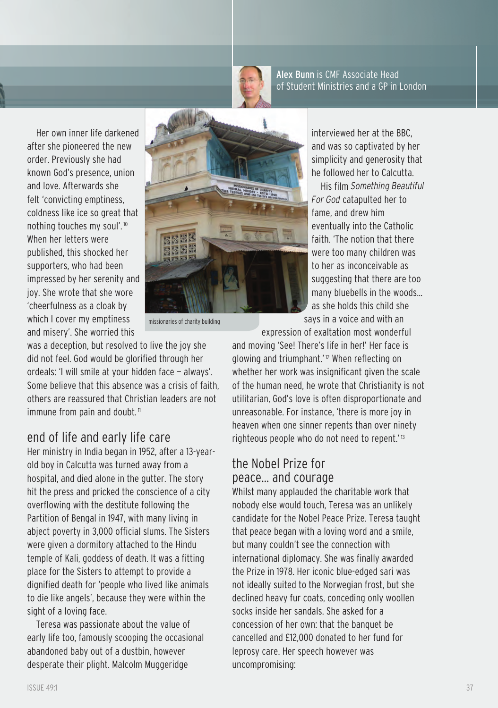

Alex Bunn is cMF Associate Head of Student Ministries and a gP in london

Her own inner life darkened after she pioneered the new order. Previously she had known god's presence, union and love. Afterwards she felt 'convicting emptiness, coldness like ice so great that nothing touches my soul'. <sup>10</sup> When her letters were published, this shocked her supporters, who had been impressed by her serenity and joy. She wrote that she wore 'cheerfulness as a cloak by which I cover my emptiness and misery'. She worried this



missionaries of charity building

was a deception, but resolved to live the joy she did not feel. God would be glorified through her ordeals: 'I will smile at your hidden face — always'. Some believe that this absence was a crisis of faith, others are reassured that christian leaders are not immune from pain and doubt.<sup>11</sup>

# end of life and early life care

Her ministry in India began in 1952, after a 13-yearold boy in calcutta was turned away from a hospital, and died alone in the gutter. The story hit the press and pricked the conscience of a city overflowing with the destitute following the Partition of bengal in 1947, with many living in abject poverty in 3,000 official slums. The Sisters were given a dormitory attached to the Hindu temple of Kali, goddess of death. It was a fitting place for the Sisters to attempt to provide a dignified death for 'people who lived like animals to die like angels', because they were within the sight of a loving face.

Teresa was passionate about the value of early life too, famously scooping the occasional abandoned baby out of a dustbin, however desperate their plight. Malcolm Muggeridge

interviewed her at the BBC. and was so captivated by her simplicity and generosity that he followed her to calcutta.

His film *Something Beautiful For God* catapulted her to fame, and drew him eventually into the catholic faith. 'The notion that there were too many children was to her as inconceivable as suggesting that there are too many bluebells in the woods… as she holds this child she says in a voice and with an

expression of exaltation most wonderful

and moving 'See! There's life in her!' Her face is glowing and triumphant.' <sup>12</sup> When reflecting on whether her work was insignificant given the scale of the human need, he wrote that christianity is not utilitarian, god's love is often disproportionate and unreasonable. For instance, 'there is more joy in heaven when one sinner repents than over ninety righteous people who do not need to repent.' <sup>13</sup>

#### the Nobel Prize for peace… and courage

Whilst many applauded the charitable work that nobody else would touch, Teresa was an unlikely candidate for the Nobel Peace Prize. Teresa taught that peace began with a loving word and a smile, but many couldn't see the connection with international diplomacy. She was finally awarded the Prize in 1978. Her iconic blue-edged sari was not ideally suited to the norwegian frost, but she declined heavy fur coats, conceding only woollen socks inside her sandals. She asked for a concession of her own: that the banquet be cancelled and £12,000 donated to her fund for leprosy care. Her speech however was uncompromising: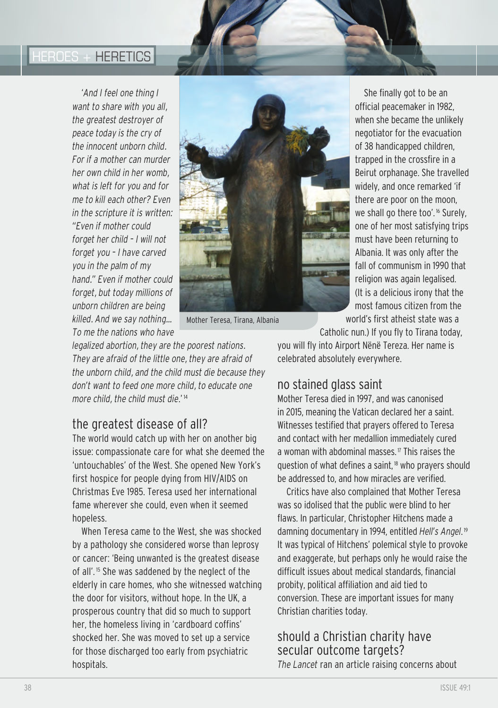# **HEROES + HERETICS**

'*And I feel one thing I want to share with you all, the greatest destroyer of peace today is the cry of the innocent unborn child. For if a mother can murder her own child in her womb, what is left for you and for me to kill each other? Even in the scripture it is written: "Even if mother could forget her child – I will not forget you – I have carved you in the palm of my hand." Even if mother could forget, but today millions of unborn children are being killed. And we say nothing… To me the nations who have*



Mother Teresa, Tirana, Albania

*legalized abortion, they are the poorest nations. They are afraid of the little one, they are afraid of the unborn child, and the child must die because they don't want to feed one more child, to educate one more child, the child must die*.' <sup>14</sup>

# the greatest disease of all?

The world would catch up with her on another big issue: compassionate care for what she deemed the 'untouchables' of the West. She opened New York's first hospice for people dying from HIV/AIDS on christmas Eve 1985. teresa used her international fame wherever she could, even when it seemed honeless

When Teresa came to the West, she was shocked by a pathology she considered worse than leprosy or cancer: 'being unwanted is the greatest disease of all'. <sup>15</sup> She was saddened by the neglect of the elderly in care homes, who she witnessed watching the door for visitors, without hope. In the UK, a prosperous country that did so much to support her, the homeless living in 'cardboard coffins' shocked her. She was moved to set up a service for those discharged too early from psychiatric hospitals.

She finally got to be an official peacemaker in 1982, when she became the unlikely negotiator for the evacuation of 38 handicapped children, trapped in the crossfire in a beirut orphanage. She travelled widely, and once remarked 'if there are poor on the moon, we shall go there too'.<sup>16</sup> Surely, one of her most satisfying trips must have been returning to Albania. It was only after the fall of communism in 1990 that religion was again legalised. (It is a delicious irony that the most famous citizen from the world's first atheist state was a

Catholic nun.) If you fly to Tirana today, you will fly into Airport Nënë Tereza. Her name is celebrated absolutely everywhere.

# no stained glass saint

Mother teresa died in 1997, and was canonised in 2015, meaning the Vatican declared her a saint. Witnesses testified that prayers offered to Teresa and contact with her medallion immediately cured a woman with abdominal masses. <sup>17</sup> this raises the question of what defines a saint, <sup>18</sup> who prayers should be addressed to, and how miracles are verified.

Critics have also complained that Mother Teresa was so idolised that the public were blind to her flaws. In particular, christopher Hitchens made a damning documentary in 1994, entitled *Hell's Angel*. 19 It was typical of Hitchens' polemical style to provoke and exaggerate, but perhaps only he would raise the difficult issues about medical standards, financial probity, political affiliation and aid tied to conversion. These are important issues for many christian charities today.

#### should a christian charity have secular outcome targets? *The Lancet* ran an article raising concerns about

38 ISSUE 49:1